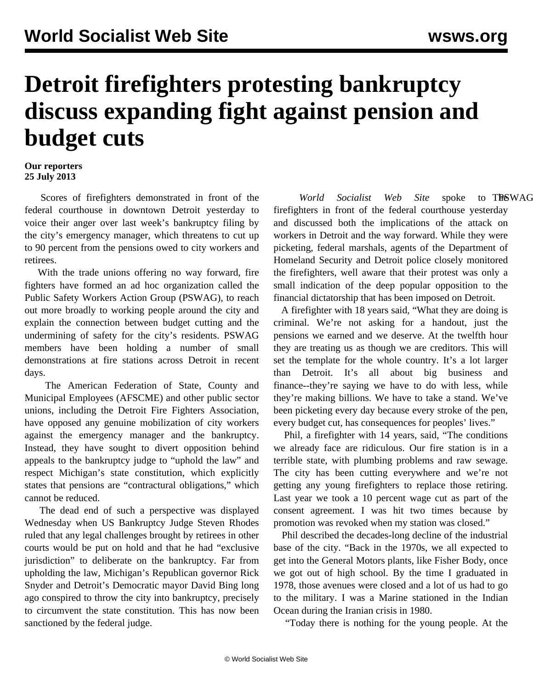## **Detroit firefighters protesting bankruptcy discuss expanding fight against pension and budget cuts**

## **Our reporters 25 July 2013**

 Scores of firefighters demonstrated in front of the federal courthouse in downtown Detroit yesterday to voice their anger over last week's bankruptcy filing by the city's emergency manager, which threatens to cut up to 90 percent from the pensions owed to city workers and retirees.

 With the trade unions offering no way forward, fire fighters have formed an ad hoc organization called the Public Safety Workers Action Group (PSWAG), to reach out more broadly to working people around the city and explain the connection between budget cutting and the undermining of safety for the city's residents. PSWAG members have been holding a number of small demonstrations at fire stations across Detroit in recent days.

 The American Federation of State, County and Municipal Employees (AFSCME) and other public sector unions, including the Detroit Fire Fighters Association, have opposed any genuine mobilization of city workers against the emergency manager and the bankruptcy. Instead, they have sought to divert opposition behind appeals to the bankruptcy judge to "uphold the law" and respect Michigan's state constitution, which explicitly states that pensions are "contractural obligations," which cannot be reduced.

 The dead end of such a perspective was displayed Wednesday when US Bankruptcy Judge Steven Rhodes ruled that any legal challenges brought by retirees in other courts would be put on hold and that he had "exclusive jurisdiction" to deliberate on the bankruptcy. Far from upholding the law, Michigan's Republican governor Rick Snyder and Detroit's Democratic mayor David Bing long ago conspired to throw the city into bankruptcy, precisely to circumvent the state constitution. This has now been sanctioned by the federal judge.

World Socialist Web Site spoke to TRSWAG firefighters in front of the federal courthouse yesterday and discussed both the implications of the attack on workers in Detroit and the way forward. While they were picketing, federal marshals, agents of the Department of Homeland Security and Detroit police closely monitored the firefighters, well aware that their protest was only a small indication of the deep popular opposition to the financial dictatorship that has been imposed on Detroit.

 A firefighter with 18 years said, "What they are doing is criminal. We're not asking for a handout, just the pensions we earned and we deserve. At the twelfth hour they are treating us as though we are creditors. This will set the template for the whole country. It's a lot larger than Detroit. It's all about big business and finance--they're saying we have to do with less, while they're making billions. We have to take a stand. We've been picketing every day because every stroke of the pen, every budget cut, has consequences for peoples' lives."

 Phil, a firefighter with 14 years, said, "The conditions we already face are ridiculous. Our fire station is in a terrible state, with plumbing problems and raw sewage. The city has been cutting everywhere and we're not getting any young firefighters to replace those retiring. Last year we took a 10 percent wage cut as part of the consent agreement. I was hit two times because by promotion was revoked when my station was closed."

 Phil described the decades-long decline of the industrial base of the city. "Back in the 1970s, we all expected to get into the General Motors plants, like Fisher Body, once we got out of high school. By the time I graduated in 1978, those avenues were closed and a lot of us had to go to the military. I was a Marine stationed in the Indian Ocean during the Iranian crisis in 1980.

"Today there is nothing for the young people. At the